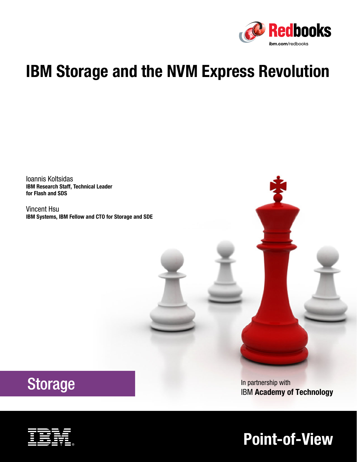

# **IBM Storage and the NVM Express Revolution**

Ioannis Koltsidas **IBM Research Staff, Technical Leader for Flash and SDS**

Vincent Hsu **IBM Systems, IBM Fellow and CTO for Storage and SDE**



In partnership with IBM **Academy of Technology**



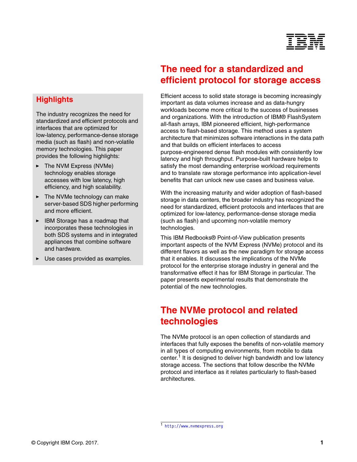

## **Highlights**

The industry recognizes the need for standardized and efficient protocols and interfaces that are optimized for low-latency, performance-dense storage media (such as flash) and non-volatile memory technologies. This paper provides the following highlights:

- ► The NVM Express (NVMe) technology enables storage accesses with low latency, high efficiency, and high scalability.
- ► The NVMe technology can make server-based SDS higher performing and more efficient.
- IBM Storage has a roadmap that incorporates these technologies in both SDS systems and in integrated appliances that combine software and hardware.
- -Use cases provided as examples.

## **The need for a standardized and efficient protocol for storage access**

Efficient access to solid state storage is becoming increasingly important as data volumes increase and as data-hungry workloads become more critical to the success of businesses and organizations. With the introduction of IBM® FlashSystem all-flash arrays, IBM pioneered efficient, high-performance access to flash-based storage. This method uses a system architecture that minimizes software interactions in the data path and that builds on efficient interfaces to access purpose-engineered dense flash modules with consistently low latency and high throughput. Purpose-built hardware helps to satisfy the most demanding enterprise workload requirements and to translate raw storage performance into application-level benefits that can unlock new use cases and business value.

With the increasing maturity and wider adoption of flash-based storage in data centers, the broader industry has recognized the need for standardized, efficient protocols and interfaces that are optimized for low-latency, performance-dense storage media (such as flash) and upcoming non-volatile memory technologies.

This IBM Redbooks® Point-of-View publication presents important aspects of the NVM Express (NVMe) protocol and its different flavors as well as the new paradigm for storage access that it enables. It discusses the implications of the NVMe protocol for the enterprise storage industry in general and the transformative effect it has for IBM Storage in particular. The paper presents experimental results that demonstrate the potential of the new technologies.

## **The NVMe protocol and related technologies**

The NVMe protocol is an open collection of standards and interfaces that fully exposes the benefits of non-volatile memory in all types of computing environments, from mobile to data center.<sup>1</sup> It is designed to deliver high bandwidth and low latency storage access. The sections that follow describe the NVMe protocol and interface as it relates particularly to flash-based architectures.

<sup>1</sup><http://www.nvmexpress.org>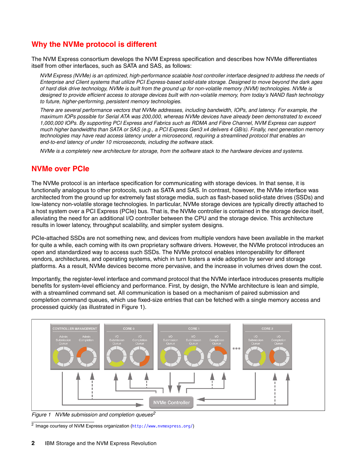### **Why the NVMe protocol is different**

The NVM Express consortium develops the NVM Express specification and describes how NVMe differentiates itself from other interfaces, such as SATA and SAS, as follows:

NVM Express (NVMe) is an optimized, high-performance scalable host controller interface designed to address the needs of Enterprise and Client systems that utilize PCI Express-based solid-state storage. Designed to move beyond the dark ages of hard disk drive technology, NVMe is built from the ground up for non-volatile memory (NVM) technologies. NVMe is designed to provide efficient access to storage devices built with non-volatile memory, from today's NAND flash technology to future, higher-performing, persistent memory technologies.

There are several performance vectors that NVMe addresses, including bandwidth, IOPs, and latency. For example, the maximum IOPs possible for Serial ATA was 200,000, whereas NVMe devices have already been demonstrated to exceed 1,000,000 IOPs. By supporting PCI Express and Fabrics such as RDMA and Fibre Channel, NVM Express can support much higher bandwidths than SATA or SAS (e.g., a PCI Express Gen3 x4 delivers 4 GB/s). Finally, next generation memory technologies may have read access latency under a microsecond, requiring a streamlined protocol that enables an end-to-end latency of under 10 microseconds, including the software stack.

NVMe is a completely new architecture for storage, from the software stack to the hardware devices and systems.

#### **NVMe over PCIe**

The NVMe protocol is an interface specification for communicating with storage devices. In that sense, it is functionally analogous to other protocols, such as SATA and SAS. In contrast, however, the NVMe interface was architected from the ground up for extremely fast storage media, such as flash-based solid-state drives (SSDs) and low-latency non-volatile storage technologies. In particular, NVMe storage devices are typically directly attached to a host system over a PCI Express (PCIe) bus. That is, the NVMe controller is contained in the storage device itself, alleviating the need for an additional I/O controller between the CPU and the storage device. This architecture results in lower latency, throughput scalability, and simpler system designs.

PCIe-attached SSDs are not something new, and devices from multiple vendors have been available in the market for quite a while, each coming with its own proprietary software drivers. However, the NVMe protocol introduces an open and standardized way to access such SSDs. The NVMe protocol enables interoperability for different vendors, architectures, and operating systems, which in turn fosters a wide adoption by server and storage platforms. As a result, NVMe devices become more pervasive, and the increase in volumes drives down the cost.

Importantly, the register-level interface and command protocol that the NVMe interface introduces presents multiple benefits for system-level efficiency and performance. First, by design, the NVMe architecture is lean and simple, with a streamlined command set. All communication is based on a mechanism of paired submission and completion command queues, which use fixed-size entries that can be fetched with a single memory access and processed quickly (as illustrated in [Figure 1](#page-3-0)).



<span id="page-3-0"></span>Figure 1 NVMe submission and completion queues<sup>2</sup>

<sup>2</sup> Image courtesy of NVM Express organization (<http://www.nvmexpress.org/>)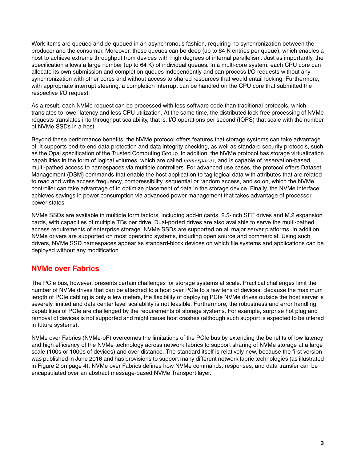Work items are queued and de-queued in an asynchronous fashion, requiring no synchronization between the producer and the consumer. Moreover, these queues can be deep (up to 64 K entries per queue), which enables a host to achieve extreme throughput from devices with high degrees of internal parallelism. Just as importantly, the specification allows a large number (up to 64 K) of individual queues. In a multi-core system, each CPU core can allocate its own submission and completion queues independently and can process I/O requests without any synchronization with other cores and without access to shared resources that would entail locking. Furthermore, with appropriate interrupt steering, a completion interrupt can be handled on the CPU core that submitted the respective I/O request.

As a result, each NVMe request can be processed with less software code than traditional protocols, which translates to lower latency and less CPU utilization. At the same time, the distributed lock-free processing of NVMe requests translates into throughput scalability, that is, I/O operations per second (IOPS) that scale with the number of NVMe SSDs in a host.

Beyond these performance benefits, the NVMe protocol offers features that storage systems can take advantage of. It supports end-to-end data protection and data integrity checking, as well as standard security protocols, such as the Opal specification of the Trusted Computing Group. In addition, the NVMe protocol has storage virtualization capabilities in the form of logical volumes, which are called *namespaces*, and is capable of reservation-based, multi-pathed access to namespaces via multiple controllers. For advanced use cases, the protocol offers Dataset Management (DSM) commands that enable the host application to tag logical data with attributes that are related to read and write access frequency, compressibility, sequential or random access, and so on, which the NVMe controller can take advantage of to optimize placement of data in the storage device. Finally, the NVMe interface achieves savings in power consumption via advanced power management that takes advantage of processor power states.

NVMe SSDs are available in multiple form factors, including add-in cards, 2.5-inch SFF drives and M.2 expansion cards, with capacities of multiple TBs per drive. Dual-ported drives are also available to serve the multi-pathed access requirements of enterprise storage. NVMe SSDs are supported on all major server platforms. In addition, NVMe drivers are supported on most operating systems, including open source and commercial. Using such drivers, NVMe SSD namespaces appear as standard-block devices on which file systems and applications can be deployed without any modification.

#### **NVMe over Fabrics**

The PCIe bus, however, presents certain challenges for storage systems at scale. Practical challenges limit the number of NVMe drives that can be attached to a host over PCIe to a few tens of devices. Because the maximum length of PCIe cabling is only a few meters, the flexibility of deploying PCIe NVMe drives outside the host server is severely limited and data center level scalability is not feasible. Furthermore, the robustness and error handling capabilities of PCIe are challenged by the requirements of storage systems. For example, surprise hot plug and removal of devices is not supported and might cause host crashes (although such support is expected to be offered in future systems).

NVMe over Fabrics (NVMe-oF) overcomes the limitations of the PCIe bus by extending the benefits of low latency and high efficiency of the NVMe technology across network fabrics to support sharing of NVMe storage at a large scale (100s or 1000s of devices) and over distance. The standard itself is relatively new, because the first version was published in June 2016 and has provisions to support many different network fabric technologies (as illustrated in [Figure 2 on page 4](#page-5-0)). NVMe over Fabrics defines how NVMe commands, responses, and data transfer can be encapsulated over an abstract message-based NVMe Transport layer.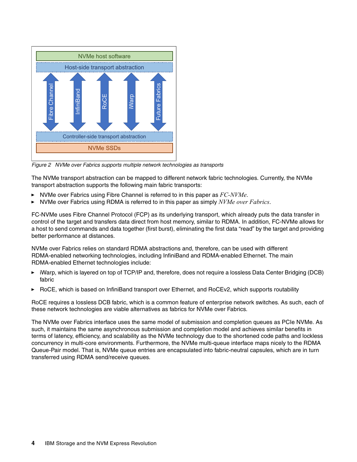

<span id="page-5-0"></span>Figure 2 NVMe over Fabrics supports multiple network technologies as transports

The NVMe transport abstraction can be mapped to different network fabric technologies. Currently, the NVMe transport abstraction supports the following main fabric transports:

- -NVMe over Fabrics using Fibre Channel is referred to in this paper as *FC-NVMe*.
- -NVMe over Fabrics using RDMA is referred to in this paper as simply *NVMe over Fabrics*.

FC-NVMe uses Fibre Channel Protocol (FCP) as its underlying transport, which already puts the data transfer in control of the target and transfers data direct from host memory, similar to RDMA. In addition, FC-NVMe allows for a host to send commands and data together (first burst), eliminating the first data "read" by the target and providing better performance at distances.

NVMe over Fabrics relies on standard RDMA abstractions and, therefore, can be used with different RDMA-enabled networking technologies, including InfiniBand and RDMA-enabled Ethernet. The main RDMA-enabled Ethernet technologies include:

- iWarp, which is layered on top of TCP/IP and, therefore, does not require a lossless Data Center Bridging (DCB) fabric
- -RoCE, which is based on InfiniBand transport over Ethernet, and RoCEv2, which supports routability

RoCE requires a lossless DCB fabric, which is a common feature of enterprise network switches. As such, each of these network technologies are viable alternatives as fabrics for NVMe over Fabrics.

The NVMe over Fabrics interface uses the same model of submission and completion queues as PCIe NVMe. As such, it maintains the same asynchronous submission and completion model and achieves similar benefits in terms of latency, efficiency, and scalability as the NVMe technology due to the shortened code paths and lockless concurrency in multi-core environments. Furthermore, the NVMe multi-queue interface maps nicely to the RDMA Queue-Pair model. That is, NVMe queue entries are encapsulated into fabric-neutral capsules, which are in turn transferred using RDMA send/receive queues.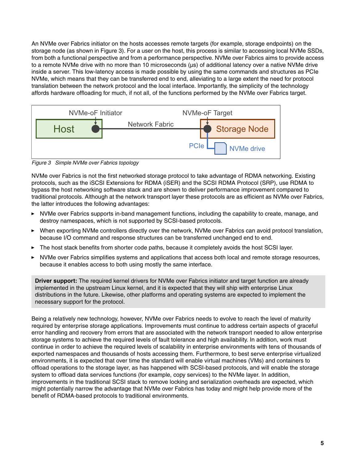An NVMe over Fabrics initiator on the hosts accesses remote targets (for example, storage endpoints) on the storage node (as shown in [Figure 3](#page-6-0)). For a user on the host, this process is similar to accessing local NVMe SSDs, from both a functional perspective and from a performance perspective. NVMe over Fabrics aims to provide access to a remote NVMe drive with no more than 10 microseconds (µs) of additional latency over a native NVMe drive inside a server. This low-latency access is made possible by using the same commands and structures as PCIe NVMe, which means that they can be transferred end to end, alleviating to a large extent the need for protocol translation between the network protocol and the local interface. Importantly, the simplicity of the technology affords hardware offloading for much, if not all, of the functions performed by the NVMe over Fabrics target.



<span id="page-6-0"></span>Figure 3 Simple NVMe over Fabrics topology

NVMe over Fabrics is not the first networked storage protocol to take advantage of RDMA networking. Existing protocols, such as the iSCSI Extensions for RDMA (iSER) and the SCSI RDMA Protocol (SRP), use RDMA to bypass the host networking software stack and are shown to deliver performance improvement compared to traditional protocols. Although at the network transport layer these protocols are as efficient as NVMe over Fabrics, the latter introduces the following advantages:

- NVMe over Fabrics supports in-band management functions, including the capability to create, manage, and destroy namespaces, which is not supported by SCSI-based protocols.
- When exporting NVMe controllers directly over the network, NVMe over Fabrics can avoid protocol translation, because I/O command and response structures can be transferred unchanged end to end.
- -The host stack benefits from shorter code paths, because it completely avoids the host SCSI layer.
- - NVMe over Fabrics simplifies systems and applications that access both local and remote storage resources, because it enables access to both using mostly the same interface.

**Driver support:** The required kernel drivers for NVMe over Fabrics initiator and target function are already implemented in the upstream Linux kernel, and it is expected that they will ship with enterprise Linux distributions in the future. Likewise, other platforms and operating systems are expected to implement the necessary support for the protocol.

Being a relatively new technology, however, NVMe over Fabrics needs to evolve to reach the level of maturity required by enterprise storage applications. Improvements must continue to address certain aspects of graceful error handling and recovery from errors that are associated with the network transport needed to allow enterprise storage systems to achieve the required levels of fault tolerance and high availability. In addition, work must continue in order to achieve the required levels of scalability in enterprise environments with tens of thousands of exported namespaces and thousands of hosts accessing them. Furthermore, to best serve enterprise virtualized environments, it is expected that over time the standard will enable virtual machines (VMs) and containers to offload operations to the storage layer, as has happened with SCSI-based protocols, and will enable the storage system to offload data services functions (for example, copy services) to the NVMe layer. In addition, improvements in the traditional SCSI stack to remove locking and serialization overheads are expected, which might potentially narrow the advantage that NVMe over Fabrics has today and might help provide more of the benefit of RDMA-based protocols to traditional environments.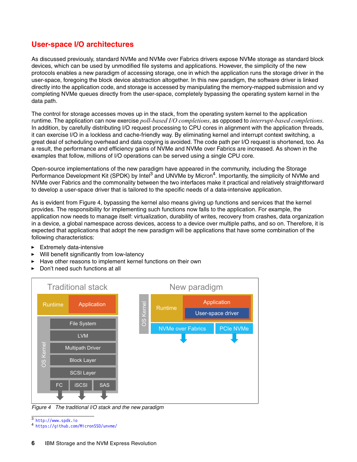#### **User-space I/O architectures**

As discussed previously, standard NVMe and NVMe over Fabrics drivers expose NVMe storage as standard block devices, which can be used by unmodified file systems and applications. However, the simplicity of the new protocols enables a new paradigm of accessing storage, one in which the application runs the storage driver in the user-space, foregoing the block device abstraction altogether. In this new paradigm, the software driver is linked directly into the application code, and storage is accessed by manipulating the memory-mapped submission and vy completing NVMe queues directly from the user-space, completely bypassing the operating system kernel in the data path.

The control for storage accesses moves up in the stack, from the operating system kernel to the application runtime. The application can now exercise *poll-based I/O completions*, as opposed to *interrupt-based completions*. In addition, by carefully distributing I/O request processing to CPU cores in alignment with the application threads, it can exercise I/O in a lockless and cache-friendly way. By eliminating kernel and interrupt context switching, a great deal of scheduling overhead and data copying is avoided. The code path per I/O request is shortened, too. As a result, the performance and efficiency gains of NVMe and NVMe over Fabrics are increased. As shown in the examples that follow, millions of I/O operations can be served using a single CPU core.

Open-source implementations of the new paradigm have appeared in the community, including the Storage Performance Development Kit (SPDK) by Intel<sup>3</sup> and UNVMe by Micron<sup>4</sup>. Importantly, the simplicity of NVMe and NVMe over Fabrics and the commonality between the two interfaces make it practical and relatively straightforward to develop a user-space driver that is tailored to the specific needs of a data-intensive application.

As is evident from [Figure 4,](#page-7-0) bypassing the kernel also means giving up functions and services that the kernel provides. The responsibility for implementing such functions now falls to the application. For example, the application now needs to manage itself: virtualization, durability of writes, recovery from crashes, data organization in a device, a global namespace across devices, access to a device over multiple paths, and so on. Therefore, it is expected that applications that adopt the new paradigm will be applications that have some combination of the following characteristics:

- -Extremely data-intensive
- -Will benefit significantly from low-latency
- -Have other reasons to implement kernel functions on their own
- -Don't need such functions at all



<span id="page-7-0"></span>Figure 4 The traditional I/O stack and the new paradigm

<sup>3</sup><http://www.spdk.io>

<sup>4</sup><https://github.com/MicronSSD/unvme/>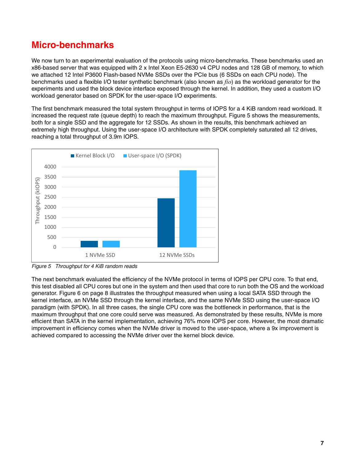## **Micro-benchmarks**

We now turn to an experimental evaluation of the protocols using micro-benchmarks. These benchmarks used an x86-based server that was equipped with 2 x Intel Xeon E5-2630 v4 CPU nodes and 128 GB of memory, to which we attached 12 Intel P3600 Flash-based NVMe SSDs over the PCIe bus (6 SSDs on each CPU node). The benchmarks used a flexible I/O tester synthetic benchmark (also known as *fio*) as the workload generator for the experiments and used the block device interface exposed through the kernel. In addition, they used a custom I/O workload generator based on SPDK for the user-space I/O experiments.

The first benchmark measured the total system throughput in terms of IOPS for a 4 KiB random read workload. It increased the request rate (queue depth) to reach the maximum throughput. [Figure 5](#page-8-0) shows the measurements, both for a single SSD and the aggregate for 12 SSDs. As shown in the results, this benchmark achieved an extremely high throughput. Using the user-space I/O architecture with SPDK completely saturated all 12 drives, reaching a total throughput of 3.9m IOPS.



<span id="page-8-0"></span>Figure 5 Throughput for 4 KiB random reads

The next benchmark evaluated the efficiency of the NVMe protocol in terms of IOPS per CPU core. To that end, this test disabled all CPU cores but one in the system and then used that core to run both the OS and the workload generator. [Figure 6 on page 8](#page-9-0) illustrates the throughput measured when using a local SATA SSD through the kernel interface, an NVMe SSD through the kernel interface, and the same NVMe SSD using the user-space I/O paradigm (with SPDK). In all three cases, the single CPU core was the bottleneck in performance, that is the maximum throughput that one core could serve was measured. As demonstrated by these results, NVMe is more efficient than SATA in the kernel implementation, achieving 76% more IOPS per core. However, the most dramatic improvement in efficiency comes when the NVMe driver is moved to the user-space, where a 9x improvement is achieved compared to accessing the NVMe driver over the kernel block device.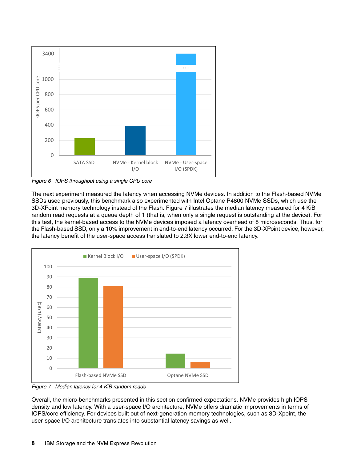

<span id="page-9-0"></span>Figure 6 IOPS throughput using a single CPU core

The next experiment measured the latency when accessing NVMe devices. In addition to the Flash-based NVMe SSDs used previously, this benchmark also experimented with Intel Optane P4800 NVMe SSDs, which use the 3D-XPoint memory technology instead of the Flash. [Figure 7](#page-9-1) illustrates the median latency measured for 4 KiB random read requests at a queue depth of 1 (that is, when only a single request is outstanding at the device). For this test, the kernel-based access to the NVMe devices imposed a latency overhead of 8 microseconds. Thus, for the Flash-based SSD, only a 10% improvement in end-to-end latency occurred. For the 3D-XPoint device, however, the latency benefit of the user-space access translated to 2.3X lower end-to-end latency.



<span id="page-9-1"></span>Figure 7 Median latency for 4 KiB random reads

Overall, the micro-benchmarks presented in this section confirmed expectations. NVMe provides high IOPS density and low latency. With a user-space I/O architecture, NVMe offers dramatic improvements in terms of IOPS/core efficiency. For devices built out of next-generation memory technologies, such as 3D-Xpoint, the user-space I/O architecture translates into substantial latency savings as well.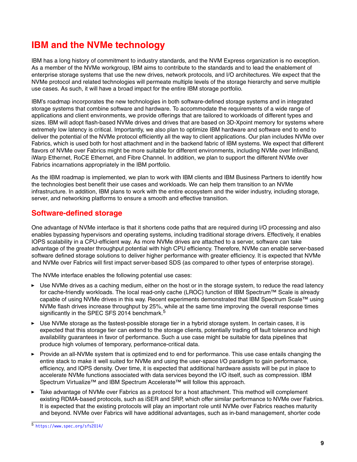## **IBM and the NVMe technology**

IBM has a long history of commitment to industry standards, and the NVM Express organization is no exception. As a member of the NVMe workgroup, IBM aims to contribute to the standards and to lead the enablement of enterprise storage systems that use the new drives, network protocols, and I/O architectures. We expect that the NVMe protocol and related technologies will permeate multiple levels of the storage hierarchy and serve multiple use cases. As such, it will have a broad impact for the entire IBM storage portfolio.

IBM's roadmap incorporates the new technologies in both software-defined storage systems and in integrated storage systems that combine software and hardware. To accommodate the requirements of a wide range of applications and client environments, we provide offerings that are tailored to workloads of different types and sizes. IBM will adopt flash-based NVMe drives and drives that are based on 3D-Xpoint memory for systems where extremely low latency is critical. Importantly, we also plan to optimize IBM hardware and software end to end to deliver the potential of the NVMe protocol efficiently all the way to client applications. Our plan includes NVMe over Fabrics, which is used both for host attachment and in the backend fabric of IBM systems. We expect that different flavors of NVMe over Fabrics might be more suitable for different environments, including NVMe over InfiniBand, iWarp Ethernet, RoCE Ethernet, and Fibre Channel. In addition, we plan to support the different NVMe over Fabrics incarnations appropriately in the IBM portfolio.

As the IBM roadmap is implemented, we plan to work with IBM clients and IBM Business Partners to identify how the technologies best benefit their use cases and workloads. We can help them transition to an NVMe infrastructure. In addition, IBM plans to work with the entire ecosystem and the wider industry, including storage, server, and networking platforms to ensure a smooth and effective transition.

#### **Software-defined storage**

One advantage of NVMe interface is that it shortens code paths that are required during I/O processing and also enables bypassing hypervisors and operating systems, including traditional storage drivers. Effectively, it enables IOPS scalability in a CPU-efficient way. As more NVMe drives are attached to a server, software can take advantage of the greater throughput potential with high CPU efficiency. Therefore, NVMe can enable server-based software defined storage solutions to deliver higher performance with greater efficiency. It is expected that NVMe and NVMe over Fabrics will first impact server-based SDS (as compared to other types of enterprise storage).

The NVMe interface enables the following potential use cases:

- Use NVMe drives as a caching medium, either on the host or in the storage system, to reduce the read latency for cache-friendly workloads. The local read-only cache (LROC) function of IBM Spectrum™ Scale is already capable of using NVMe drives in this way. Recent experiments demonstrated that IBM Spectrum Scale™ using NVMe flash drives increase throughput by 25%, while at the same time improving the overall response times significantly in the SPEC SFS 2014 benchmark.<sup>5</sup>
- Use NVMe storage as the fastest-possible storage tier in a hybrid storage system. In certain cases, it is expected that this storage tier can extend to the storage clients, potentially trading off fault tolerance and high availability guarantees in favor of performance. Such a use case might be suitable for data pipelines that produce high volumes of temporary, performance-critical data.
- Provide an all-NVMe system that is optimized end to end for performance. This use case entails changing the entire stack to make it well suited for NVMe and using the user-space I/O paradigm to gain performance, efficiency, and IOPS density. Over time, it is expected that additional hardware assists will be put in place to accelerate NVMe functions associated with data services beyond the I/O itself, such as compression. IBM Spectrum Virtualize™ and IBM Spectrum Accelerate™ will follow this approach.
- ► Take advantage of NVMe over Fabrics as a protocol for a host attachment. This method will complement existing RDMA-based protocols, such as iSER and SRP, which offer similar performance to NVMe over Fabrics. It is expected that the existing protocols will play an important role until NVMe over Fabrics reaches maturity and beyond. NVMe over Fabrics will have additional advantages, such as in-band management, shorter code

<sup>5</sup><https://www.spec.org/sfs2014/>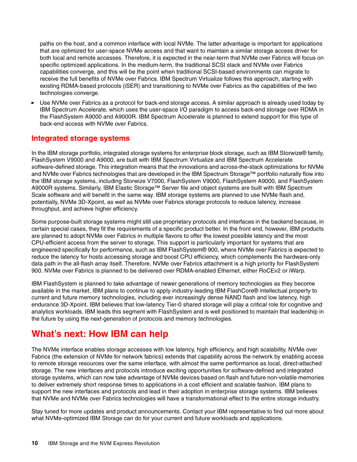paths on the host, and a common interface with local NVMe. The latter advantage is important for applications that are optimized for user-space NVMe access and that want to maintain a similar storage access driver for both local and remote accesses. Therefore, it is expected in the near-term that NVMe over Fabrics will focus on specific optimized applications. In the medium-term, the traditional SCSI stack and NVMe over Fabrics capabilities converge, and this will be the point when traditional SCSI-based environments can migrate to receive the full benefits of NVMe over Fabrics. IBM Spectrum Virtualize follows this approach, starting with existing RDMA-based protocols (iSER) and transitioning to NVMe over Fabrics as the capabilities of the two technologies converge.

- Use NVMe over Fabrics as a protocol for back-end storage access. A similar approach is already used today by IBM Spectrum Accelerate, which uses the user-space I/O paradigm to access back-end storage over RDMA in the FlashSystem A9000 and A9000R. IBM Spectrum Accelerate is planned to extend support for this type of back-end access with NVMe over Fabrics.

#### **Integrated storage systems**

In the IBM storage portfolio, integrated storage systems for enterprise block storage, such as IBM Storwize® family, FlashSystem V9000 and A9000, are built with IBM Spectrum Virtualize and IBM Spectrum Accelerate software-defined storage. This integration means that the innovations and across-the-stack optimizations for NVMe and NVMe over Fabrics technologies that are developed in the IBM Spectrum Storage™ portfolio naturally flow into the IBM storage systems, including Storwize V7000, FlashSystem V9000, FlashSystem A9000, and FlashSystem A9000R systems. Similarly, IBM Elastic Storage™ Server file and object systems are built with IBM Spectrum Scale software and will benefit in the same way. IBM storage systems are planned to use NVMe flash and, potentially, NVMe 3D-Xpoint, as well as NVMe over Fabrics storage protocols to reduce latency, increase throughput, and achieve higher efficiency.

Some purpose-built storage systems might still use proprietary protocols and interfaces in the backend because, in certain special cases, they fit the requirements of a specific product better. In the front end, however, IBM products are planned to adopt NVMe over Fabrics in multiple flavors to offer the lowest possible latency and the most CPU-efficient access from the server to storage. This support is particularly important for systems that are engineered specifically for performance, such as IBM FlashSystem® 900, where NVMe over Fabrics is expected to reduce the latency for hosts accessing storage and boost CPU efficiency, which complements the hardware-only data path in the all-flash array itself. Therefore, NVMe over Fabrics attachment is a high priority for FlashSystem 900. NVMe over Fabrics is planned to be delivered over RDMA-enabled Ethernet, either RoCEv2 or iWarp.

IBM FlashSystem is planned to take advantage of newer generations of memory technologies as they become available in the market. IBM plans to continue to apply industry-leading IBM FlashCore® intellectual property to current and future memory technologies, including ever increasingly dense NAND flash and low latency, high endurance 3D-Xpoint. IBM believes that low-latency Tier-0 shared storage will play a critical role for cognitive and analytics workloads. IBM leads this segment with FlashSystem and is well positioned to maintain that leadership in the future by using the next-generation of protocols and memory technologies.

## **What's next: How IBM can help**

The NVMe interface enables storage accesses with low latency, high efficiency, and high scalability. NVMe over Fabrics (the extension of NVMe for network fabrics) extends that capability across the network by enabling access to remote storage resources over the same interface, with almost the same performance as local, direct-attached storage. The new interfaces and protocols introduce exciting opportunities for software-defined and integrated storage systems, which can now take advantage of NVMe devices based on flash and future non-volatile memories to deliver extremely short response times to applications in a cost efficient and scalable fashion. IBM plans to support the new interfaces and protocols and lead in their adoption in enterprise storage systems. IBM believes that NVMe and NVMe over Fabrics technologies will have a transformational effect to the entire storage industry.

Stay tuned for more updates and product announcements. Contact your IBM representative to find out more about what NVMe-optimized IBM Storage can do for your current and future workloads and applications.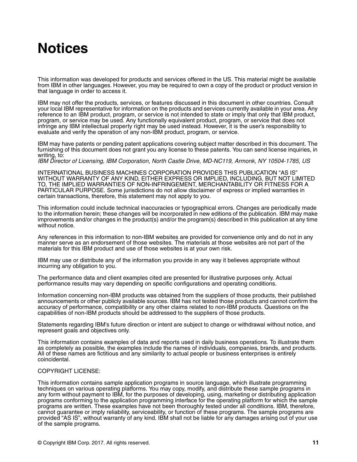## **Notices**

This information was developed for products and services offered in the US. This material might be available from IBM in other languages. However, you may be required to own a copy of the product or product version in that language in order to access it.

IBM may not offer the products, services, or features discussed in this document in other countries. Consult your local IBM representative for information on the products and services currently available in your area. Any reference to an IBM product, program, or service is not intended to state or imply that only that IBM product, program, or service may be used. Any functionally equivalent product, program, or service that does not infringe any IBM intellectual property right may be used instead. However, it is the user's responsibility to evaluate and verify the operation of any non-IBM product, program, or service.

IBM may have patents or pending patent applications covering subject matter described in this document. The furnishing of this document does not grant you any license to these patents. You can send license inquiries, in writing, to:

IBM Director of Licensing, IBM Corporation, North Castle Drive, MD-NC119, Armonk, NY 10504-1785, US

INTERNATIONAL BUSINESS MACHINES CORPORATION PROVIDES THIS PUBLICATION "AS IS" WITHOUT WARRANTY OF ANY KIND, EITHER EXPRESS OR IMPLIED, INCLUDING, BUT NOT LIMITED TO, THE IMPLIED WARRANTIES OF NON-INFRINGEMENT, MERCHANTABILITY OR FITNESS FOR A PARTICULAR PURPOSE. Some jurisdictions do not allow disclaimer of express or implied warranties in certain transactions, therefore, this statement may not apply to you.

This information could include technical inaccuracies or typographical errors. Changes are periodically made to the information herein; these changes will be incorporated in new editions of the publication. IBM may make improvements and/or changes in the product(s) and/or the program(s) described in this publication at any time without notice.

Any references in this information to non-IBM websites are provided for convenience only and do not in any manner serve as an endorsement of those websites. The materials at those websites are not part of the materials for this IBM product and use of those websites is at your own risk.

IBM may use or distribute any of the information you provide in any way it believes appropriate without incurring any obligation to you.

The performance data and client examples cited are presented for illustrative purposes only. Actual performance results may vary depending on specific configurations and operating conditions.

Information concerning non-IBM products was obtained from the suppliers of those products, their published announcements or other publicly available sources. IBM has not tested those products and cannot confirm the accuracy of performance, compatibility or any other claims related to non-IBM products. Questions on the capabilities of non-IBM products should be addressed to the suppliers of those products.

Statements regarding IBM's future direction or intent are subject to change or withdrawal without notice, and represent goals and objectives only.

This information contains examples of data and reports used in daily business operations. To illustrate them as completely as possible, the examples include the names of individuals, companies, brands, and products. All of these names are fictitious and any similarity to actual people or business enterprises is entirely coincidental.

#### COPYRIGHT LICENSE:

This information contains sample application programs in source language, which illustrate programming techniques on various operating platforms. You may copy, modify, and distribute these sample programs in any form without payment to IBM, for the purposes of developing, using, marketing or distributing application programs conforming to the application programming interface for the operating platform for which the sample programs are written. These examples have not been thoroughly tested under all conditions. IBM, therefore, cannot guarantee or imply reliability, serviceability, or function of these programs. The sample programs are provided "AS IS", without warranty of any kind. IBM shall not be liable for any damages arising out of your use of the sample programs.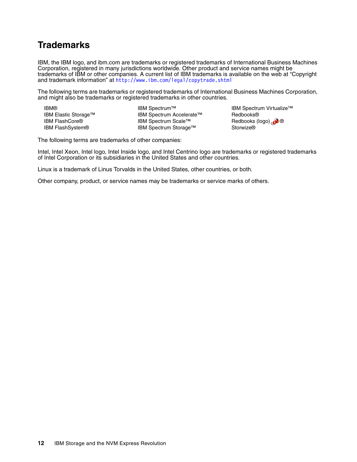## **Trademarks**

IBM, the IBM logo, and ibm.com are trademarks or registered trademarks of International Business Machines Corporation, registered in many jurisdictions worldwide. Other product and service names might be trademarks of IBM or other companies. A current list of IBM trademarks is available on the web at "Copyright and trademark information" at <http://www.ibm.com/legal/copytrade.shtml>

The following terms are trademarks or registered trademarks of International Business Machines Corporation, and might also be trademarks or registered trademarks in other countries.

IBM® IBM Elastic Storage™ IBM FlashCore® IBM FlashSystem®

IBM Spectrum™ IBM Spectrum Accelerate™ IBM Spectrum Scale™ IBM Spectrum Storage™

IBM Spectrum Virtualize™ Redbooks® Redbooks (logo) **C** ® Storwize®

The following terms are trademarks of other companies:

Intel, Intel Xeon, Intel logo, Intel Inside logo, and Intel Centrino logo are trademarks or registered trademarks of Intel Corporation or its subsidiaries in the United States and other countries.

Linux is a trademark of Linus Torvalds in the United States, other countries, or both.

Other company, product, or service names may be trademarks or service marks of others.